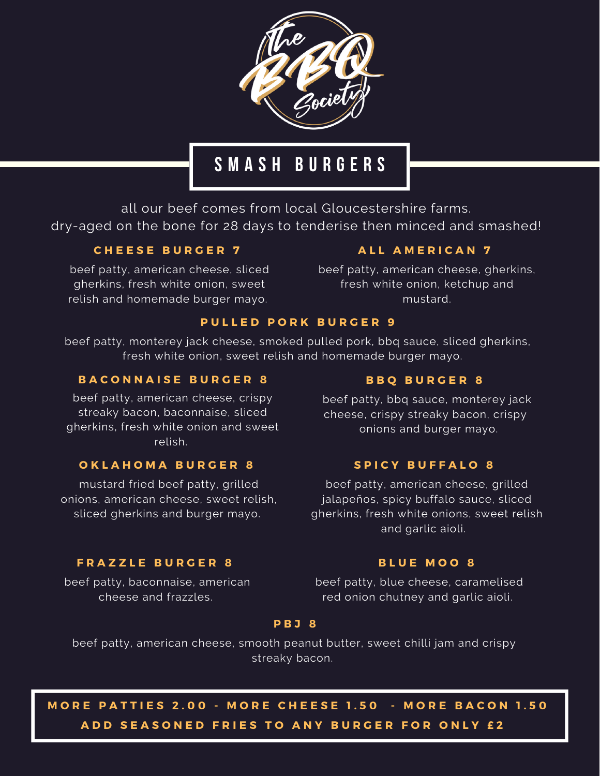

## **S M A S H B U R G E R S**

all our beef comes from local Gloucestershire farms. dry-aged on the bone for 28 days to tenderise then minced and smashed!

### **C H E E S E B U R G E R 7**

beef patty, american cheese, sliced gherkins, fresh white onion, sweet relish and homemade burger mayo.

### **A L L A M E R I C A N 7**

beef patty, american cheese, gherkins, fresh white onion, ketchup and mustard.

### **P U L L E D P O R K B U R G E R 9**

beef patty, monterey jack cheese, smoked pulled pork, bbq sauce, sliced gherkins, fresh white onion, sweet relish and homemade burger mayo.

### **B A C O N N A I S E B U R G E R 8**

beef patty, american cheese, crispy streaky bacon, baconnaise, sliced gherkins, fresh white onion and sweet relish.

### **O K L A H O M A B U R G E R 8**

mustard fried beef patty, grilled onions, american cheese, sweet relish, sliced gherkins and burger mayo.

### **B B Q B U R G E R 8**

beef patty, bbq sauce, monterey jack cheese, crispy streaky bacon, crispy onions and burger mayo.

### **S P I C Y B U F F A L O 8**

beef patty, american cheese, grilled jalapeños, spicy buffalo sauce, sliced gherkins, fresh white onions, sweet relish and garlic aioli.

### **F R A Z Z L E B U R G E R 8**

beef patty, baconnaise, american cheese and frazzles.

#### **B L U E M O O 8**

beef patty, blue cheese, caramelised red onion chutney and garlic aioli.

#### **P B J 8**

beef patty, american cheese, smooth peanut butter, sweet chilli jam and crispy streaky bacon.

MORE PATTIES 2.00 - MORE CHEESE 1.50 - MORE BACON 1.50 ADD SEASONED FRIES TO ANY BURGER FOR ONLY £2